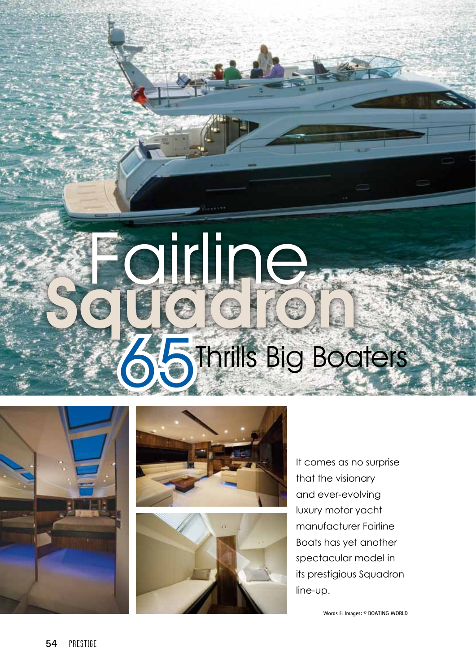## sirline **Thrills Big Boaters**



 $F = \frac{1}{2}$ 



It comes as no surprise that the visionary and ever-evolving luxury motor yacht manufacturer Fairline Boats has yet another spectacular model in its prestigious Squadron line-up.

**Words & Images: © BOATING WORLD**